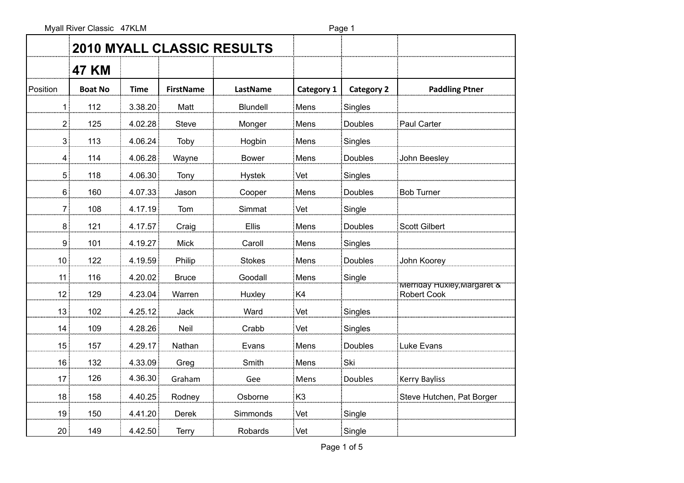Myall River Classic 47KLM extended to the Page 1

|                 |                |         |                  | 2010 MYALL CLASSIC RESULTS |                |                   |                                                  |
|-----------------|----------------|---------|------------------|----------------------------|----------------|-------------------|--------------------------------------------------|
|                 | <b>47 KM</b>   |         |                  |                            |                |                   |                                                  |
| Position        | <b>Boat No</b> | Time    | <b>FirstName</b> | LastName                   | Category 1     | <b>Category 2</b> | <b>Paddling Ptner</b>                            |
| 11              | 112            | 3.38.20 | Matt             | Blundell                   | Mens           | Singles           |                                                  |
| 2 <sup>1</sup>  | 125            | 4.02.28 | Steve            | Monger                     | Mens           | Doubles           | Paul Carter                                      |
| 3 <sup>1</sup>  | 113            | 4.06.24 | Toby             | Hogbin                     | Mens           | Singles           |                                                  |
| $\overline{4}$  | 114            | 4.06.28 | Wayne            | <b>Bower</b>               | Mens           | Doubles           | John Beesley                                     |
| 5 <sup>1</sup>  | 118            | 4.06.30 | Tony             | <b>Hystek</b>              | Vet            | Singles           |                                                  |
| 6 <sup>1</sup>  | 160            | 4.07.33 | Jason            | Cooper                     | Mens           | Doubles           | <b>Bob Turner</b>                                |
| 7               | 108            | 4.17.19 | Tom              | Simmat                     | Vet            | Single            |                                                  |
| 8 <sup>1</sup>  | 121            | 4.17.57 | Craig            | Ellis                      | Mens           | Doubles           | <b>Scott Gilbert</b>                             |
| 9 <sup>1</sup>  | 101            | 4.19.27 | <b>Mick</b>      | Caroll                     | Mens           | Singles           |                                                  |
| 10              | 122            | 4.19.59 | Philip           | <b>Stokes</b>              | Mens           | Doubles           | John Koorey                                      |
| 11              | 116            | 4.20.02 | <b>Bruce</b>     | Goodall                    | Mens           | Single            |                                                  |
| 12              | 129            | 4.23.04 | Warren           | Huxley                     | K4             |                   | Mernday Huxley, Margaret &<br><b>Robert Cook</b> |
| 13              | 102            | 4.25.12 | Jack             | Ward                       | Vet            | Singles           |                                                  |
| 14              | 109            | 4.28.26 | Neil             | Crabb                      | Vet            | Singles           |                                                  |
| 15              | 157            | 4.29.17 | Nathan           | Evans                      | Mens           | Doubles           | Luke Evans                                       |
| 16              | 132            | 4.33.09 | Greg             | Smith                      | Mens           | Ski               |                                                  |
| 17 <sub>1</sub> | 126            | 4.36.30 | Graham           | Gee                        | Mens           | <b>Doubles</b>    | <b>Kerry Bayliss</b>                             |
| 18 <sup>1</sup> | 158            | 4.40.25 | Rodney           | Osborne                    | K <sub>3</sub> |                   | Steve Hutchen, Pat Borger                        |
| 19 <sup>°</sup> | 150            | 4.41.20 | Derek            | Simmonds                   | Vet            | Single            |                                                  |
| 20 <sup>1</sup> | 149            | 4.42.50 | <b>Terry</b>     | Robards                    | Vet            | Single            |                                                  |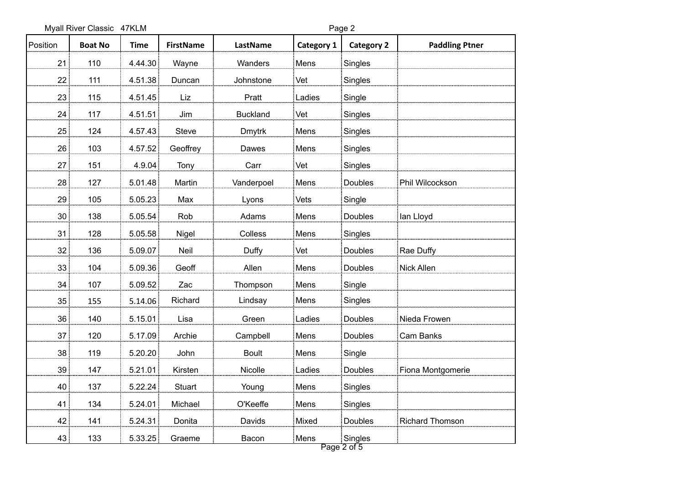Myall River Classic 47KLM extended to the Page 2

| Position        | <b>Boat No</b> | <b>Time</b> | <b>FirstName</b> | LastName        | Category 1 | <b>Category 2</b> | <b>Paddling Ptner</b>  |
|-----------------|----------------|-------------|------------------|-----------------|------------|-------------------|------------------------|
| 21              | 110            | 4.44.30     | Wayne            | Wanders         | Mens       | Singles           |                        |
| 22              | 111            | 4.51.38     | Duncan           | Johnstone       | Vet        | Singles           |                        |
| 23              | 115            | 4.51.45     | Liz              | Pratt           | Ladies     | Single            |                        |
| 24              | 117            | 4.51.51     | Jim              | <b>Buckland</b> | Vet        | Singles           |                        |
| 25              | 124            | 4.57.43     | Steve            | <b>Dmytrk</b>   | Mens       | Singles           |                        |
| 26              | 103            | 4.57.52     | Geoffrey         | Dawes           | Mens       | Singles           |                        |
| 27 <sub>1</sub> | 151            | 4.9.04      | Tony             | Carr            | Vet        | Singles           |                        |
| 28              | 127            | 5.01.48     | Martin           | Vanderpoel      | Mens       | Doubles           | Phil Wilcockson        |
| 29              | 105            | 5.05.23     | Max              | Lyons           | Vets       | Single            |                        |
| 30 <sub>1</sub> | 138            | 5.05.54     | Rob              | Adams           | Mens       | Doubles           | lan Lloyd              |
| 31              | 128            | 5.05.58     | Nigel            | Colless         | Mens       | Singles           |                        |
| 32 <sub>1</sub> | 136            | 5.09.07     | Neil             | Duffy           | Vet        | Doubles           | Rae Duffy              |
| 33              | 104            | 5.09.36     | Geoff            | Allen           | Mens       | Doubles           | Nick Allen             |
| 34              | 107            | 5.09.52     | Zac              | Thompson        | Mens       | Single            |                        |
| 35              | 155            | 5.14.06     | Richard          | Lindsay         | Mens       | Singles           |                        |
| 36 <sup>1</sup> | 140            | 5.15.01     | Lisa             | Green           | Ladies     | Doubles           | Nieda Frowen           |
| 37              | 120            | 5.17.09     | Archie           | Campbell        | Mens       | Doubles           | Cam Banks              |
| 38              | 119            | 5.20.20     | John             | <b>Boult</b>    | Mens       | Single            |                        |
| 39              | 147            | 5.21.01     | Kirsten          | Nicolle         | Ladies     | Doubles           | Fiona Montgomerie      |
| 40              | 137            | 5.22.24     | Stuart           | Young           | Mens       | Singles           |                        |
| 41              | 134            | 5.24.01     | Michael          | O'Keeffe        | Mens       | Singles           |                        |
| 42              | 141            | 5.24.31     | Donita           | Davids          | Mixed      | Doubles           | <b>Richard Thomson</b> |
| 43              | 133            | 5.33.25     | Graeme           | Bacon           | Mens       | Singles           |                        |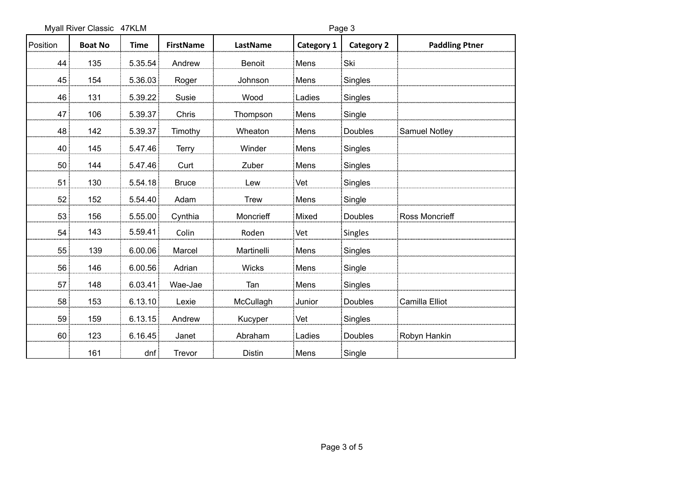Myall River Classic 47KLM and the state of the Page 3

| Position        | <b>Boat No</b> | <b>Time</b> | <b>FirstName</b> | LastName      | Category 1 | <b>Category 2</b> | <b>Paddling Ptner</b> |
|-----------------|----------------|-------------|------------------|---------------|------------|-------------------|-----------------------|
| 44              | 135            | 5.35.54     | Andrew           | Benoit        | Mens       | Ski               |                       |
| 45              | 154            | 5.36.03     | Roger            | Johnson       | Mens       | Singles           |                       |
| 46              | 131            | 5.39.22     | Susie            | Wood          | Ladies     | Singles           |                       |
| 47              | 106            | 5.39.37     | Chris            | Thompson      | Mens       | Single            |                       |
| 48              | 142            | 5.39.37     | Timothy          | Wheaton       | Mens       | Doubles           | Samuel Notley         |
| 40              | 145            | 5.47.46     | <b>Terry</b>     | Winder        | Mens       | Singles           |                       |
| 50 <sup>1</sup> | 144            | 5.47.46     | Curt             | Zuber         | Mens       | Singles           |                       |
| 51              | 130            | 5.54.18     | <b>Bruce</b>     | Lew           | Vet        | Singles           |                       |
| 52              | 152            | 5.54.40     | Adam             | <b>Trew</b>   | Mens       | Single            |                       |
| 53              | 156            | 5.55.00     | Cynthia          | Moncrieff     | Mixed      | Doubles           | <b>Ross Moncrieff</b> |
| 54              | 143            | 5.59.41     | Colin            | Roden         | Vet        | <b>Singles</b>    |                       |
| 55              | 139            | 6.00.06     | Marcel           | Martinelli    | Mens       | Singles           |                       |
| 56              | 146            | 6.00.56     | Adrian           | Wicks         | Mens       | Single            |                       |
| 57              | 148            | 6.03.41     | Wae-Jae          | Tan           | Mens       | Singles           |                       |
| 58              | 153            | 6.13.10     | Lexie            | McCullagh     | Junior     | Doubles           | Camilla Elliot        |
| 59              | 159            | 6.13.15     | Andrew           | Kucyper       | Vet        | Singles           |                       |
| 60              | 123            | 6.16.45     | Janet            | Abraham       | Ladies     | Doubles           | Robyn Hankin          |
|                 | 161            | dnf         | Trevor           | <b>Distin</b> | Mens       | Single            |                       |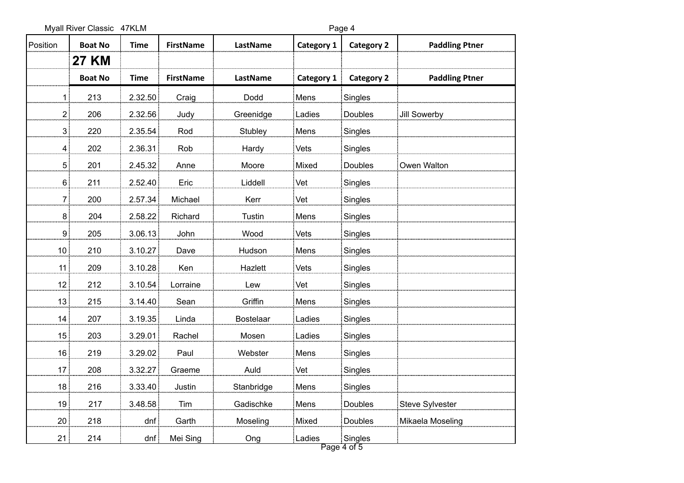Myall River Classic 47KLM extended to the Page 4

| Position        | <b>Boat No</b> | <b>Time</b> | <b>FirstName</b> | LastName         | <b>Category 1</b> | <b>Category 2</b> | <b>Paddling Ptner</b>  |
|-----------------|----------------|-------------|------------------|------------------|-------------------|-------------------|------------------------|
|                 | <b>27 KM</b>   |             |                  |                  |                   |                   |                        |
|                 | <b>Boat No</b> | <b>Time</b> | <b>FirstName</b> | LastName         | Category 1        | <b>Category 2</b> | <b>Paddling Ptner</b>  |
| $\mathbf{1}$    | 213            | 2.32.50     | Craig            | Dodd             | Mens              | Singles           |                        |
| 2]              | 206            | 2.32.56     | Judy             | Greenidge        | Ladies            | Doubles           | Jill Sowerby           |
| 3               | 220            | 2.35.54     | Rod              | Stubley          | Mens              | Singles           |                        |
| $\mathbf{4}$    | 202            | 2.36.31     | Rob              | Hardy            | Vets              | Singles           |                        |
| 5 <sup>1</sup>  | 201            | 2.45.32     | Anne             | Moore            | Mixed             | Doubles           | Owen Walton            |
| 6               | 211            | 2.52.40     | Eric             | Liddell          | Vet               | Singles           |                        |
| 7               | 200            | 2.57.34     | Michael          | Kerr             | Vet               | Singles           |                        |
| 8 <sup>1</sup>  | 204            | 2.58.22     | Richard          | Tustin           | Mens              | Singles           |                        |
| 9 <sub>1</sub>  | 205            | 3.06.13     | John             | Wood             | Vets              | Singles           |                        |
| 10 <sup>1</sup> | 210            | 3.10.27     | Dave             | Hudson           | Mens              | Singles           |                        |
| 11              | 209            | 3.10.28     | Ken              | Hazlett          | Vets              | Singles           |                        |
| 12 <sub>1</sub> | 212            | 3.10.54     | Lorraine         | Lew              | Vet               | Singles           |                        |
| 13              | 215            | 3.14.40     | Sean             | Griffin          | Mens              | Singles           |                        |
| 14              | 207            | 3.19.35     | Linda            | <b>Bostelaar</b> | Ladies            | Singles           |                        |
| 15              | 203            | 3.29.01     | Rachel           | Mosen            | Ladies            | Singles           |                        |
| 16 <sub>1</sub> | 219            | 3.29.02     | Paul             | Webster          | Mens              | Singles           |                        |
| 17 <sup>1</sup> | 208            | 3.32.27     | Graeme           | Auld             | Vet               | Singles           |                        |
| 18              | 216            | 3.33.40     | Justin           | Stanbridge       | Mens              | Singles           |                        |
| 19              | 217            | 3.48.58     | Tim              | Gadischke        | Mens              | Doubles           | <b>Steve Sylvester</b> |
| 20 <sub>2</sub> | 218            | dnf         | Garth            | Moseling         | Mixed             | Doubles           | Mikaela Moseling       |
| 21              | 214            | dnf         | Mei Sing         | Ong              | Ladies            | Singles           |                        |